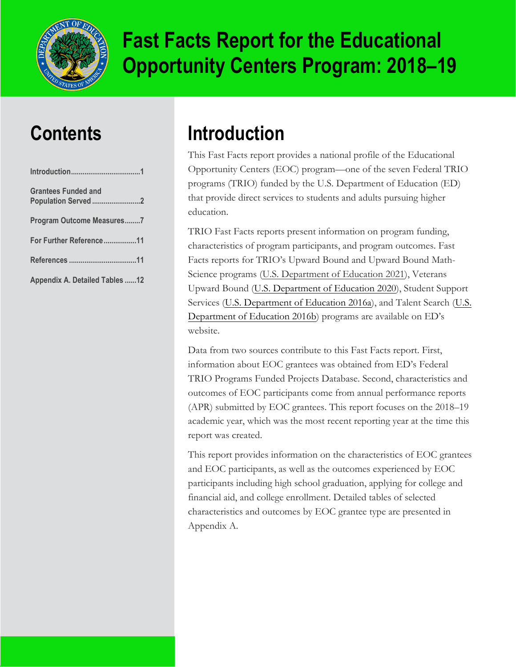

# **Fast Facts Report for the Educational Opportunity Centers Program: 2018–19**

### **Contents**

| <b>Grantees Funded and</b><br>Population Served 2 |  |
|---------------------------------------------------|--|
| Program Outcome Measures7                         |  |
| For Further Reference11                           |  |
|                                                   |  |
| <b>Appendix A. Detailed Tables 12</b>             |  |

## **Introduction**

This Fast Facts report provides a national profile of the Educational Opportunity Centers (EOC) program—one of the seven Federal TRIO programs (TRIO) funded by the U.S. Department of Education (ED) that provide direct services to students and adults pursuing higher education.

TRIO Fast Facts reports present information on program funding, characteristics of program participants, and program outcomes. Fast Facts reports for TRIO's Upward Bound and Upward Bound Math-Science programs [\(U.S. Department of Education](https://www2.ed.gov/about/offices/list/ope/trio/ububmsfastfactsreport1718.pdf) 2021), Veterans Upward Bound (U.S. [Department of Education 2020\),](https://www2.ed.gov/about/offices/list/ope/trio/vubfastfactsreport.pdf) Student Support Services [\(U.S. Department](https://www2.ed.gov/programs/triostudsupp/sss-fastfacts2016.pdf) of Education 2016a), and Talent Search (U.S. [Department of Education 2016b\)](https://www2.ed.gov/programs/triotalent/ts-fastfacts2016.pdf) programs are available on ED's website.

Data from two sources contribute to this Fast Facts report. First, information about EOC grantees was obtained from ED's Federal TRIO Programs Funded Projects Database. Second, characteristics and outcomes of EOC participants come from annual performance reports (APR) submitted by EOC grantees. This report focuses on the 2018–19 academic year, which was the most recent reporting year at the time this report was created.

This report provides information on the characteristics of EOC grantees and EOC participants, as well as the outcomes experienced by EOC participants including high school graduation, applying for college and financial aid, and college enrollment. Detailed tables of selected characteristics and outcomes by EOC grantee type are presented in Appendix A.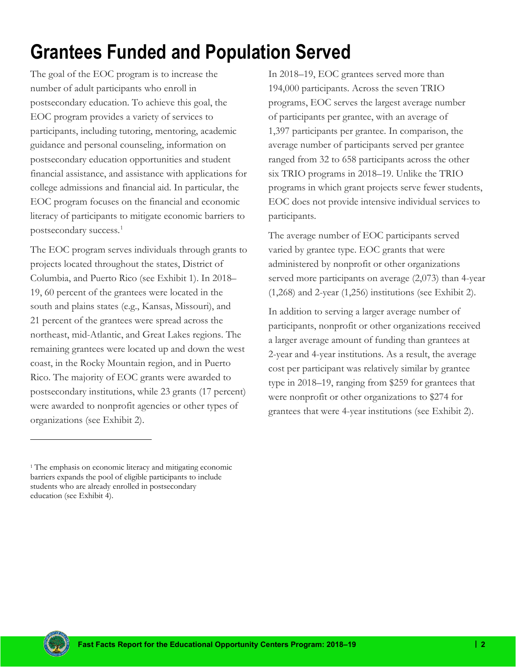# <span id="page-1-0"></span>**Grantees Funded and Population Served**

The goal of the EOC program is to increase the number of adult participants who enroll in postsecondary education. To achieve this goal, the EOC program provides a variety of services to participants, including tutoring, mentoring, academic guidance and personal counseling, information on postsecondary education opportunities and student financial assistance, and assistance with applications for college admissions and financial aid. In particular, the EOC program focuses on the financial and economic literacy of participants to mitigate economic barriers to postsecondary success.<sup>[1](#page-1-1)</sup>

The EOC program serves individuals through grants to projects located throughout the states, District of Columbia, and Puerto Rico (see Exhibit 1). In 2018– 19, 60 percent of the grantees were located in the south and plains states (e.g., Kansas, Missouri), and 21 percent of the grantees were spread across the northeast, mid-Atlantic, and Great Lakes regions. The remaining grantees were located up and down the west coast, in the Rocky Mountain region, and in Puerto Rico. The majority of EOC grants were awarded to postsecondary institutions, while 23 grants (17 percent) were awarded to nonprofit agencies or other types of organizations (see Exhibit 2).

In 2018–19, EOC grantees served more than 194,000 participants. Across the seven TRIO programs, EOC serves the largest average number of participants per grantee, with an average of 1,397 participants per grantee. In comparison, the average number of participants served per grantee ranged from 32 to 658 participants across the other six TRIO programs in 2018–19. Unlike the TRIO programs in which grant projects serve fewer students, EOC does not provide intensive individual services to participants.

The average number of EOC participants served varied by grantee type. EOC grants that were administered by nonprofit or other organizations served more participants on average (2,073) than 4-year (1,268) and 2-year (1,256) institutions (see Exhibit 2).

In addition to serving a larger average number of participants, nonprofit or other organizations received a larger average amount of funding than grantees at 2-year and 4-year institutions. As a result, the average cost per participant was relatively similar by grantee type in 2018–19, ranging from \$259 for grantees that were nonprofit or other organizations to \$274 for grantees that were 4-year institutions (see Exhibit 2).



<span id="page-1-1"></span><sup>&</sup>lt;sup>1</sup> The emphasis on economic literacy and mitigating economic barriers expands the pool of eligible participants to include students who are already enrolled in postsecondary education (see Exhibit 4).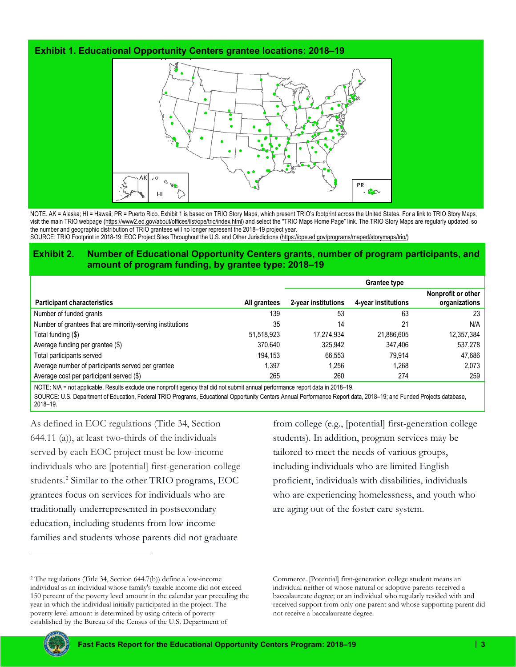### **Exhibit 1. Educational Opportunity Centers grantee locations: 2018–19**



NOTE. AK = Alaska; HI = Hawaii; PR = Puerto Rico. Exhibit 1 is based on TRIO Story Maps, which present TRIO's footprint across the United States. For a link to TRIO Story Maps, visit the main TRIO webpage [\(https://www2.ed.gov/about/offices/list/ope/trio/index.html\)](https://www2.ed.gov/about/offices/list/ope/trio/index.html) and select the "TRIO Maps Home Page" link. The TRIO Story Maps are regularly updated, so the number and geographic distribution of TRIO grantees will no longer represent the 2018–19 project year. SOURCE: TRIO Footprint in 2018-19: EOC Project Sites Throughout the U.S. and Other Jurisdictions [\(https://ope.ed.gov/programs/maped/storymaps/trio/\)](https://nam10.safelinks.protection.outlook.com/?url=https%3A%2F%2Fope.ed.gov%2Fprograms%2Fmaped%2Fstorymaps%2Ftrio%2F&data=04%7C01%7Ckzeiser%40air.org%7C37bf427e458f4f2b1eb008d90fdbf903%7C9ea45dbc7b724abfa77cc770a0a8b962%7C0%7C0%7C637558259731681203%7CUnknown%7CTWFpbGZsb3d8eyJWIjoiMC4wLjAwMDAiLCJQIjoiV2luMzIiLCJBTiI6Ik1haWwiLCJXVCI6Mn0%3D%7C1000&sdata=h8DJCfl9GX5dHeGKACRpuhkIciqE9h8tAphIK%2FITLgM%3D&reserved=0)

### **Exhibit 2. Number of Educational Opportunity Centers grants, number of program participants, and amount of program funding, by grantee type: 2018–19**

|                                                           |              | <b>Grantee type</b> |                     |                                     |  |  |  |
|-----------------------------------------------------------|--------------|---------------------|---------------------|-------------------------------------|--|--|--|
| <b>Participant characteristics</b>                        | All grantees | 2-year institutions | 4-year institutions | Nonprofit or other<br>organizations |  |  |  |
| Number of funded grants                                   | 139          | 53                  | 63                  | 23                                  |  |  |  |
| Number of grantees that are minority-serving institutions | 35           | 14                  | 21                  | N/A                                 |  |  |  |
| Total funding (\$)                                        | 51,518,923   | 17.274.934          | 21,886,605          | 12,357,384                          |  |  |  |
| Average funding per grantee (\$)                          | 370.640      | 325.942             | 347.406             | 537,278                             |  |  |  |
| Total participants served                                 | 194.153      | 66.553              | 79.914              | 47.686                              |  |  |  |
| Average number of participants served per grantee         | 1,397        | 1.256               | 1.268               | 2,073                               |  |  |  |
| Average cost per participant served (\$)                  | 265          | 260                 | 274                 | 259                                 |  |  |  |

NOTE: N/A = not applicable. Results exclude one nonprofit agency that did not submit annual performance report data in 2018–19.

SOURCE: U.S. Department of Education, Federal TRIO Programs, Educational Opportunity Centers Annual Performance Report data, 2018–19; and Funded Projects database, 2018–19.

As defined in EOC regulations (Title 34, Section 644.11 (a)), at least two-thirds of the individuals served by each EOC project must be low-income individuals who are [potential] first-generation college students.<sup>[2](#page-2-0)</sup> Similar to the other TRIO programs, EOC grantees focus on services for individuals who are traditionally underrepresented in postsecondary education, including students from low-income families and students whose parents did not graduate

from college (e.g., [potential] first-generation college students). In addition, program services may be tailored to meet the needs of various groups, including individuals who are limited English proficient, individuals with disabilities, individuals who are experiencing homelessness, and youth who are aging out of the foster care system.

Commerce. [Potential] first-generation college student means an individual neither of whose natural or adoptive parents received a baccalaureate degree; or an individual who regularly resided with and received support from only one parent and whose supporting parent did not receive a baccalaureate degree.



<span id="page-2-0"></span><sup>2</sup> The regulations (Title 34, Section 644.7(b)) define a low-income individual as an individual whose family's taxable income did not exceed 150 percent of the poverty level amount in the calendar year preceding the year in which the individual initially participated in the project. The poverty level amount is determined by using criteria of poverty established by the Bureau of the Census of the U.S. Department of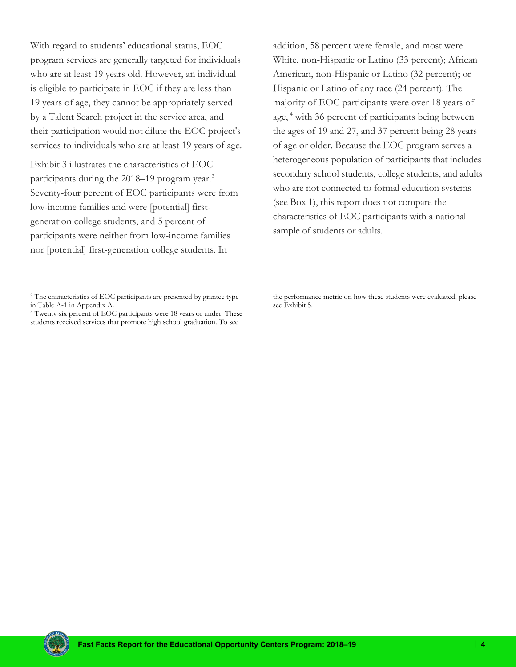With regard to students' educational status, EOC program services are generally targeted for individuals who are at least 19 years old. However, an individual is eligible to participate in EOC if they are less than 19 years of age, they cannot be appropriately served by a Talent Search project in the service area, and their participation would not dilute the EOC project's services to individuals who are at least 19 years of age.

Exhibit 3 illustrates the characteristics of EOC participants during the 2018–19 program year.<sup>[3](#page-3-0)</sup> Seventy-four percent of EOC participants were from low-income families and were [potential] firstgeneration college students, and 5 percent of participants were neither from low-income families nor [potential] first-generation college students. In

addition, 58 percent were female, and most were White, non-Hispanic or Latino (33 percent); African American, non-Hispanic or Latino (32 percent); or Hispanic or Latino of any race (24 percent). The majority of EOC participants were over 18 years of age, <sup>[4](#page-3-1)</sup> with 36 percent of participants being between the ages of 19 and 27, and 37 percent being 28 years of age or older. Because the EOC program serves a heterogeneous population of participants that includes secondary school students, college students, and adults who are not connected to formal education systems (see Box 1), this report does not compare the characteristics of EOC participants with a national sample of students or adults.



<span id="page-3-0"></span><sup>&</sup>lt;sup>3</sup> The characteristics of EOC participants are presented by grantee type in Table A-1 in Appendix A.

<span id="page-3-1"></span><sup>4</sup> Twenty-six percent of EOC participants were 18 years or under. These students received services that promote high school graduation. To see

the performance metric on how these students were evaluated, please see Exhibit 5.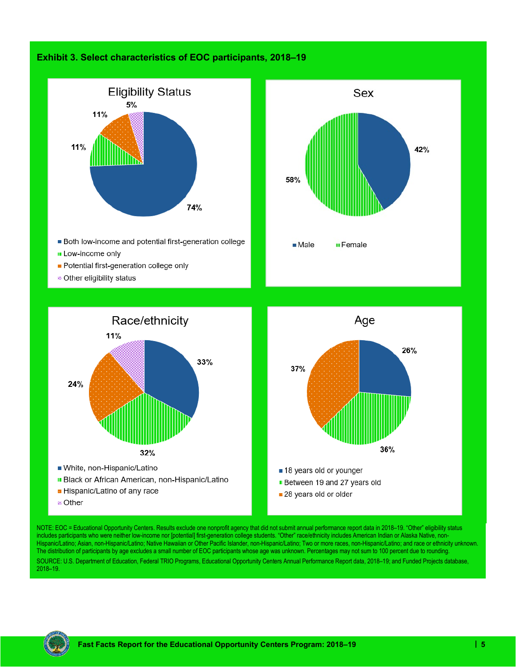### **Exhibit 3. Select characteristics of EOC participants, 2018–19**





- Both low-income and potential first-generation college
- **II** Low-income only
- Potential first-generation college only
- $\bullet$  **Other eligibility status**





NOTE: EOC = Educational Opportunity Centers. Results exclude one nonprofit agency that did not submit annual performance report data in 2018–19. "Other" eligibility status includes participants who were neither low-income nor [potential] first-generation college students. "Other" race/ethnicity includes American Indian or Alaska Native, non-Hispanic/Latino; Asian, non-Hispanic/Latino; Native Hawaiian or Other Pacific Islander, non-Hispanic/Latino; Two or more races, non-Hispanic/Latino; and race or ethnicity unknown. The distribution of participants by age excludes a small number of EOC participants whose age was unknown. Percentages may not sum to 100 percent due to rounding. SOURCE: U.S. Department of Education, Federal TRIO Programs, Educational Opportunity Centers Annual Performance Report data, 2018–19; and Funded Projects database, 2018–19.

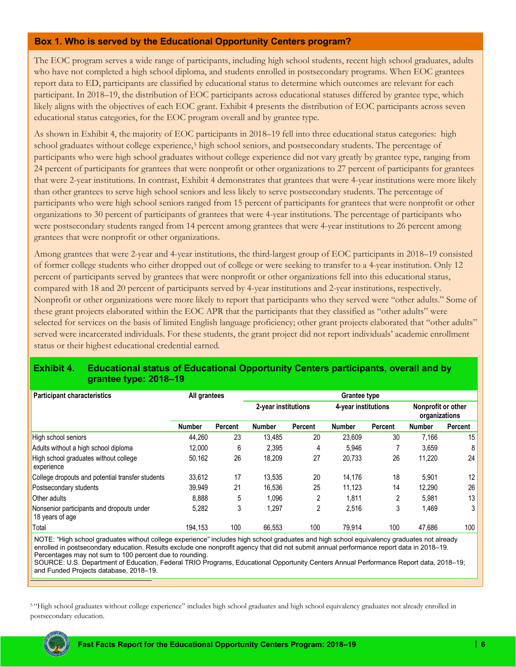### **Box 1. Who is served by the Educational Opportunity Centers program?**

The EOC program serves a wide range of participants, including high school students, recent high school graduates, adults who have not completed a high school diploma, and students enrolled in postsecondary programs. When EOC grantees report data to ED, participants are classified by educational status to determine which outcomes are relevant for each participant. In 2018–19, the distribution of EOC participants across educational statuses differed by grantee type, which likely aligns with the objectives of each EOC grant. Exhibit 4 presents the distribution of EOC participants across seven educational status categories, for the EOC program overall and by grantee type.

As shown in Exhibit 4, the majority of EOC participants in 2018–19 fell into three educational status categories: high school graduates without college experience,<sup>[5](#page-5-0)</sup> high school seniors, and postsecondary students. The percentage of participants who were high school graduates without college experience did not vary greatly by grantee type, ranging from 24 percent of participants for grantees that were nonprofit or other organizations to 27 percent of participants for grantees that were 2-year institutions. In contrast, Exhibit 4 demonstrates that grantees that were 4-year institutions were more likely than other grantees to serve high school seniors and less likely to serve postsecondary students. The percentage of participants who were high school seniors ranged from 15 percent of participants for grantees that were nonprofit or other organizations to 30 percent of participants of grantees that were 4-year institutions. The percentage of participants who were postsecondary students ranged from 14 percent among grantees that were 4-year institutions to 26 percent among grantees that were nonprofit or other organizations.

Among grantees that were 2-year and 4-year institutions, the third-largest group of EOC participants in 2018–19 consisted of former college students who either dropped out of college or were seeking to transfer to a 4-year institution. Only 12 percent of participants served by grantees that were nonprofit or other organizations fell into this educational status, compared with 18 and 20 percent of participants served by 4-year institutions and 2-year institutions, respectively. Nonprofit or other organizations were more likely to report that participants who they served were "other adults." Some of these grant projects elaborated within the EOC APR that the participants that they classified as "other adults" were selected for services on the basis of limited English language proficiency; other grant projects elaborated that "other adults" served were incarcerated individuals. For these students, the grant project did not report individuals' academic enrollment status or their highest educational credential earned.

### **Exhibit 4. Educational status of Educational Opportunity Centers participants, overall and by grantee type: 2018–19**

| <b>Participant characteristics</b>                           | All grantees  |         | <b>Grantee type</b>                        |         |               |                                     |               |         |
|--------------------------------------------------------------|---------------|---------|--------------------------------------------|---------|---------------|-------------------------------------|---------------|---------|
|                                                              |               |         | 2-year institutions<br>4-year institutions |         |               | Nonprofit or other<br>organizations |               |         |
|                                                              | <b>Number</b> | Percent | <b>Number</b>                              | Percent | <b>Number</b> | Percent                             | <b>Number</b> | Percent |
| High school seniors                                          | 44.260        | 23      | 13.485                                     | 20      | 23.609        | 30                                  | 7,166         | 15      |
| Adults without a high school diploma                         | 12.000        | 6       | 2.395                                      | 4       | 5.946         |                                     | 3,659         | 8       |
| High school graduates without college<br>experience          | 50,162        | 26      | 18.209                                     | 27      | 20,733        | 26                                  | 11.220        | 24      |
| College dropouts and potential transfer students             | 33,612        | 17      | 13.535                                     | 20      | 14,176        | 18                                  | 5,901         | 12      |
| Postsecondary students                                       | 39.949        | 21      | 16.536                                     | 25      | 11.123        | 14                                  | 12.290        | 26      |
| <b>Other adults</b>                                          | 8.888         | 5       | 1.096                                      | 2       | 1.811         | 2                                   | 5.981         | 13      |
| Nonsenior participants and dropouts under<br>18 years of age | 5,282         | 3       | 1,297                                      | 2       | 2,516         | 3                                   | 1,469         |         |
| Total                                                        | 194,153       | 100     | 66,553                                     | 100     | 79,914        | 100                                 | 47,686        | 100     |

NOTE: "High school graduates without college experience" includes high school graduates and high school equivalency graduates not already enrolled in postsecondary education. Results exclude one nonprofit agency that did not submit annual performance report data in 2018–19. Percentages may not sum to 100 percent due to rounding.

SOURCE: U.S. Department of Education, Federal TRIO Programs, Educational Opportunity Centers Annual Performance Report data, 2018–19; and Funded Projects database, 2018–19.

<span id="page-5-0"></span><sup>5</sup> "High school graduates without college experience" includes high school graduates and high school equivalency graduates not already enrolled in postsecondary education.

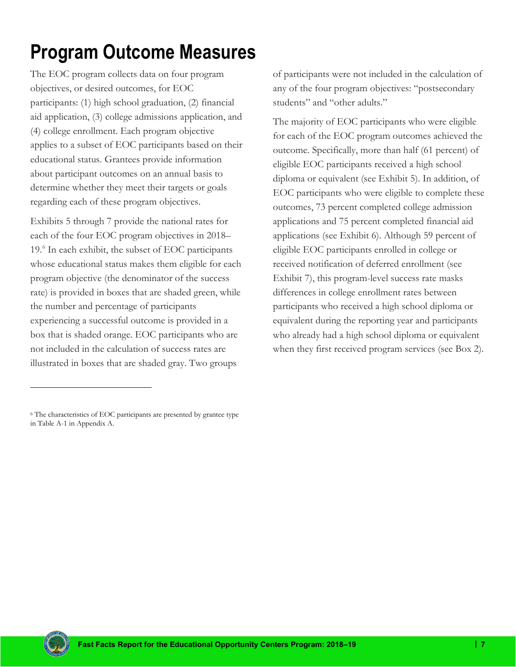# <span id="page-6-0"></span>**Program Outcome Measures**

The EOC program collects data on four program objectives, or desired outcomes, for EOC participants: (1) high school graduation, (2) financial aid application, (3) college admissions application, and (4) college enrollment. Each program objective applies to a subset of EOC participants based on their educational status. Grantees provide information about participant outcomes on an annual basis to determine whether they meet their targets or goals regarding each of these program objectives.

Exhibits 5 through 7 provide the national rates for each of the four EOC program objectives in 2018– 19.[6](#page-6-1) In each exhibit, the subset of EOC participants whose educational status makes them eligible for each program objective (the denominator of the success rate) is provided in boxes that are shaded green, while the number and percentage of participants experiencing a successful outcome is provided in a box that is shaded orange. EOC participants who are not included in the calculation of success rates are illustrated in boxes that are shaded gray. Two groups

of participants were not included in the calculation of any of the four program objectives: "postsecondary students" and "other adults."

The majority of EOC participants who were eligible for each of the EOC program outcomes achieved the outcome. Specifically, more than half (61 percent) of eligible EOC participants received a high school diploma or equivalent (see Exhibit 5). In addition, of EOC participants who were eligible to complete these outcomes, 73 percent completed college admission applications and 75 percent completed financial aid applications (see Exhibit 6). Although 59 percent of eligible EOC participants enrolled in college or received notification of deferred enrollment (see Exhibit 7), this program-level success rate masks differences in college enrollment rates between participants who received a high school diploma or equivalent during the reporting year and participants who already had a high school diploma or equivalent when they first received program services (see Box 2).



<span id="page-6-1"></span><sup>6</sup> The characteristics of EOC participants are presented by grantee type in Table A-1 in Appendix A.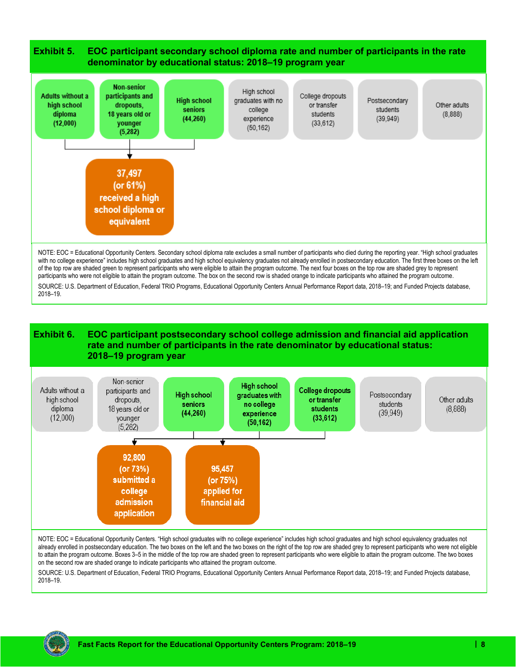

with no college experience" includes high school graduates and high school equivalency graduates not already enrolled in postsecondary education. The first three boxes on the left of the top row are shaded green to represent participants who were eligible to attain the program outcome. The next four boxes on the top row are shaded grey to represent participants who were not eligible to attain the program outcome. The box on the second row is shaded orange to indicate participants who attained the program outcome. SOURCE: U.S. Department of Education, Federal TRIO Programs, Educational Opportunity Centers Annual Performance Report data, 2018–19; and Funded Projects database, 2018–19.

#### **Exhibit 6. EOC participant postsecondary school college admission and financial aid application rate and number of participants in the rate denominator by educational status: 2018–19 program year**



NOTE: EOC = Educational Opportunity Centers. "High school graduates with no college experience" includes high school graduates and high school equivalency graduates not already enrolled in postsecondary education. The two boxes on the left and the two boxes on the right of the top row are shaded grey to represent participants who were not eligible to attain the program outcome. Boxes 3–5 in the middle of the top row are shaded green to represent participants who were eligible to attain the program outcome. The two boxes on the second row are shaded orange to indicate participants who attained the program outcome.

SOURCE: U.S. Department of Education, Federal TRIO Programs, Educational Opportunity Centers Annual Performance Report data, 2018–19; and Funded Projects database, 2018–19.

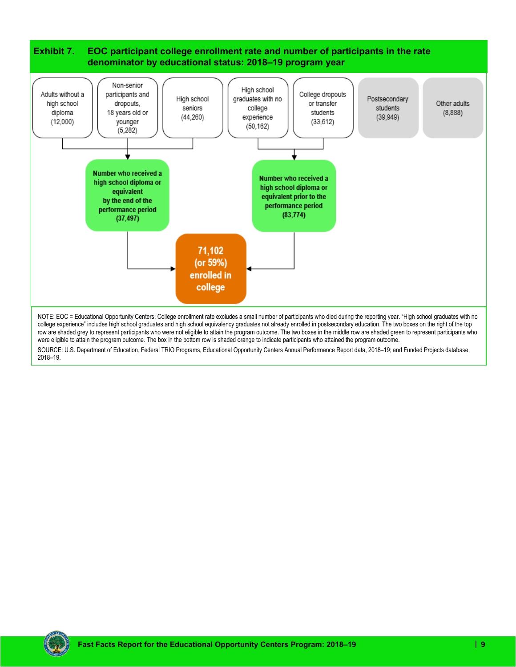

SOURCE: U.S. Department of Education, Federal TRIO Programs, Educational Opportunity Centers Annual Performance Report data, 2018–19; and Funded Projects database, 2018–19.

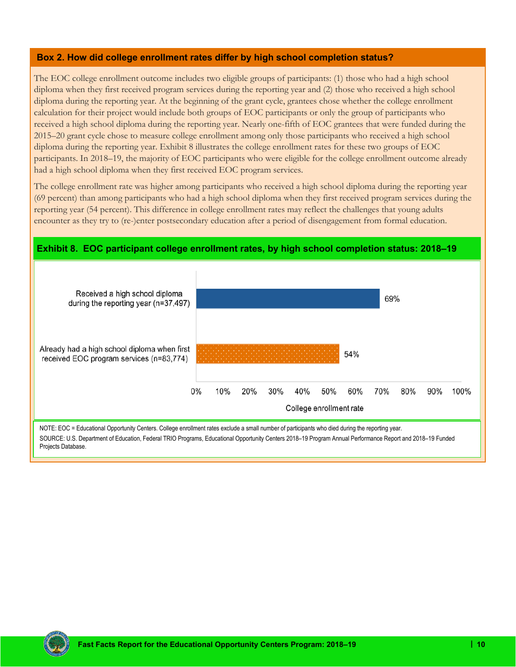#### **Box 2. How did college enrollment rates differ by high school completion status?**

The EOC college enrollment outcome includes two eligible groups of participants: (1) those who had a high school diploma when they first received program services during the reporting year and (2) those who received a high school diploma during the reporting year. At the beginning of the grant cycle, grantees chose whether the college enrollment calculation for their project would include both groups of EOC participants or only the group of participants who received a high school diploma during the reporting year. Nearly one-fifth of EOC grantees that were funded during the 2015–20 grant cycle chose to measure college enrollment among only those participants who received a high school diploma during the reporting year. Exhibit 8 illustrates the college enrollment rates for these two groups of EOC participants. In 2018–19, the majority of EOC participants who were eligible for the college enrollment outcome already had a high school diploma when they first received EOC program services.

The college enrollment rate was higher among participants who received a high school diploma during the reporting year (69 percent) than among participants who had a high school diploma when they first received program services during the reporting year (54 percent). This difference in college enrollment rates may reflect the challenges that young adults encounter as they try to (re-)enter postsecondary education after a period of disengagement from formal education.



SOURCE: U.S. Department of Education, Federal TRIO Programs, Educational Opportunity Centers 2018–19 Program Annual Performance Report and 2018–19 Funded Projects Database.

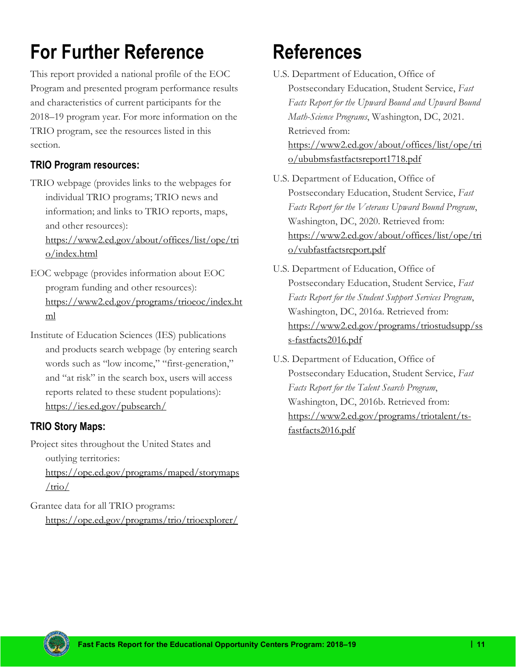# <span id="page-10-0"></span>**For Further Reference**

This report provided a national profile of the EOC Program and presented program performance results and characteristics of current participants for the 2018–19 program year. For more information on the TRIO program, see the resources listed in this section.

### **TRIO Program resources:**

TRIO webpage (provides links to the webpages for individual TRIO programs; TRIO news and information; and links to TRIO reports, maps, and other resources):

[https://www2.ed.gov/about/offices/list/ope/tri](https://www2.ed.gov/about/offices/list/ope/trio/index.html) [o/index.html](https://www2.ed.gov/about/offices/list/ope/trio/index.html)

- EOC webpage (provides information about EOC program funding and other resources): [https://www2.ed.gov/programs/trioeoc/index.ht](https://www2.ed.gov/programs/trioeoc/index.html) [ml](https://www2.ed.gov/programs/trioeoc/index.html)
- Institute of Education Sciences (IES) publications and products search webpage (by entering search words such as "low income," "first-generation," and "at risk" in the search box, users will access reports related to these student populations): [https://ies.ed.gov/pubsearch/](https://nam10.safelinks.protection.outlook.com/?url=https%3A%2F%2Fies.ed.gov%2Fpubsearch%2F&data=04%7C01%7Ckzeiser%40air.org%7C3821edf3de294b18a89b08d8e3d38165%7C9ea45dbc7b724abfa77cc770a0a8b962%7C0%7C0%7C637509844864648877%7CUnknown%7CTWFpbGZsb3d8eyJWIjoiMC4wLjAwMDAiLCJQIjoiV2luMzIiLCJBTiI6Ik1haWwiLCJXVCI6Mn0%3D%7C1000&sdata=CrmDPItTsBd9G20nSMUgdXiLJywUgPDNJGWIdHA6O3c%3D&reserved=0)

### **TRIO Story Maps:**

Project sites throughout the United States and outlying territories:

[https://ope.ed.gov/programs/maped/storymaps](https://ope.ed.gov/programs/maped/storymaps/trio/)  $/trio/$ 

Grantee data for all TRIO programs: <https://ope.ed.gov/programs/trio/trioexplorer/>

# **References**

- U.S. Department of Education, Office of Postsecondary Education, Student Service, *Fast Facts Report for the Upward Bound and Upward Bound Math-Science Programs*, Washington, DC, 2021. Retrieved from: [https://www2.ed.gov/about/offices/list/ope/tri](https://www2.ed.gov/about/offices/list/ope/trio/ububmsfastfactsreport1718.pdf) [o/ububmsfastfactsreport1718.pdf](https://www2.ed.gov/about/offices/list/ope/trio/ububmsfastfactsreport1718.pdf)
- U.S. Department of Education, Office of Postsecondary Education, Student Service, *Fast Facts Report for the Veterans Upward Bound Program*, Washington, DC, 2020. Retrieved from: [https://www2.ed.gov/about/offices/list/ope/tri](https://www2.ed.gov/about/offices/list/ope/trio/vubfastfactsreport.pdf) [o/vubfastfactsreport.pdf](https://www2.ed.gov/about/offices/list/ope/trio/vubfastfactsreport.pdf)
- U.S. Department of Education, Office of Postsecondary Education, Student Service, *Fast Facts Report for the Student Support Services Program*, Washington, DC, 2016a. Retrieved from: [https://www2.ed.gov/programs/triostudsupp/ss](https://www2.ed.gov/programs/triostudsupp/sss-fastfacts2016.pdf) [s-fastfacts2016.pdf](https://www2.ed.gov/programs/triostudsupp/sss-fastfacts2016.pdf)
- U.S. Department of Education, Office of Postsecondary Education, Student Service, *Fast Facts Report for the Talent Search Program*, Washington, DC, 2016b. Retrieved from: [https://www2.ed.gov/programs/triotalent/ts](https://www2.ed.gov/programs/triotalent/ts-fastfacts2016.pdf)[fastfacts2016.pdf](https://www2.ed.gov/programs/triotalent/ts-fastfacts2016.pdf)

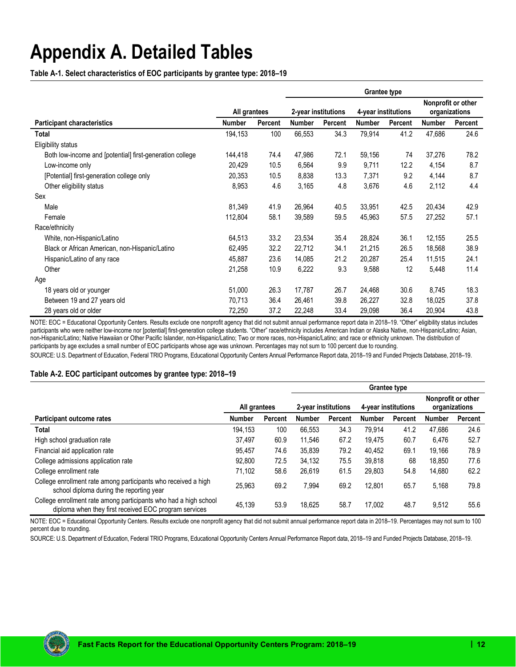### <span id="page-11-0"></span>**Appendix A. Detailed Tables**

**Table A-1. Select characteristics of EOC participants by grantee type: 2018–19**

|                                                          |               |                | <b>Grantee type</b> |                     |               |                     |               |                                     |  |
|----------------------------------------------------------|---------------|----------------|---------------------|---------------------|---------------|---------------------|---------------|-------------------------------------|--|
|                                                          |               | All grantees   |                     | 2-year institutions |               | 4-year institutions |               | Nonprofit or other<br>organizations |  |
| <b>Participant characteristics</b>                       | <b>Number</b> | <b>Percent</b> | <b>Number</b>       | <b>Percent</b>      | <b>Number</b> | Percent             | <b>Number</b> | Percent                             |  |
| Total                                                    | 194,153       | 100            | 66,553              | 34.3                | 79,914        | 41.2                | 47,686        | 24.6                                |  |
| Eligibility status                                       |               |                |                     |                     |               |                     |               |                                     |  |
| Both low-income and [potential] first-generation college | 144,418       | 74.4           | 47,986              | 72.1                | 59,156        | 74                  | 37,276        | 78.2                                |  |
| Low-income only                                          | 20,429        | 10.5           | 6,564               | 9.9                 | 9,711         | 12.2                | 4,154         | 8.7                                 |  |
| [Potential] first-generation college only                | 20,353        | 10.5           | 8,838               | 13.3                | 7,371         | 9.2                 | 4,144         | 8.7                                 |  |
| Other eligibility status                                 | 8,953         | 4.6            | 3,165               | 4.8                 | 3,676         | 4.6                 | 2,112         | 4.4                                 |  |
| Sex                                                      |               |                |                     |                     |               |                     |               |                                     |  |
| Male                                                     | 81,349        | 41.9           | 26,964              | 40.5                | 33,951        | 42.5                | 20,434        | 42.9                                |  |
| Female                                                   | 112,804       | 58.1           | 39,589              | 59.5                | 45,963        | 57.5                | 27,252        | 57.1                                |  |
| Race/ethnicity                                           |               |                |                     |                     |               |                     |               |                                     |  |
| White, non-Hispanic/Latino                               | 64,513        | 33.2           | 23,534              | 35.4                | 28,824        | 36.1                | 12,155        | 25.5                                |  |
| Black or African American, non-Hispanic/Latino           | 62,495        | 32.2           | 22,712              | 34.1                | 21,215        | 26.5                | 18,568        | 38.9                                |  |
| Hispanic/Latino of any race                              | 45,887        | 23.6           | 14,085              | 21.2                | 20,287        | 25.4                | 11,515        | 24.1                                |  |
| Other                                                    | 21,258        | 10.9           | 6,222               | 9.3                 | 9,588         | 12                  | 5,448         | 11.4                                |  |
| Age                                                      |               |                |                     |                     |               |                     |               |                                     |  |
| 18 years old or younger                                  | 51,000        | 26.3           | 17,787              | 26.7                | 24,468        | 30.6                | 8,745         | 18.3                                |  |
| Between 19 and 27 years old                              | 70,713        | 36.4           | 26,461              | 39.8                | 26,227        | 32.8                | 18,025        | 37.8                                |  |
| 28 years old or older                                    | 72,250        | 37.2           | 22,248              | 33.4                | 29,098        | 36.4                | 20,904        | 43.8                                |  |

NOTE: EOC = Educational Opportunity Centers. Results exclude one nonprofit agency that did not submit annual performance report data in 2018–19. "Other" eligibility status includes participants who were neither low-income nor [potential] first-generation college students. "Other" race/ethnicity includes American Indian or Alaska Native, non-Hispanic/Latino; Asian, non-Hispanic/Latino; Native Hawaiian or Other Pacific Islander, non-Hispanic/Latino; Two or more races, non-Hispanic/Latino; and race or ethnicity unknown. The distribution of participants by age excludes a small number of EOC participants whose age was unknown. Percentages may not sum to 100 percent due to rounding.

SOURCE: U.S. Department of Education, Federal TRIO Programs, Educational Opportunity Centers Annual Performance Report data, 2018–19 and Funded Projects Database, 2018–19.

#### **Table A-2. EOC participant outcomes by grantee type: 2018–19**

|                                                                                                                           |               |         | <b>Grantee type</b> |         |               |                     |                                     |                |
|---------------------------------------------------------------------------------------------------------------------------|---------------|---------|---------------------|---------|---------------|---------------------|-------------------------------------|----------------|
|                                                                                                                           | All grantees  |         | 2-vear institutions |         |               | 4-year institutions | Nonprofit or other<br>organizations |                |
| Participant outcome rates                                                                                                 | <b>Number</b> | Percent | <b>Number</b>       | Percent | <b>Number</b> | <b>Percent</b>      | <b>Number</b>                       | <b>Percent</b> |
| Total                                                                                                                     | 194.153       | 100     | 66.553              | 34.3    | 79.914        | 41.2                | 47,686                              | 24.6           |
| High school graduation rate                                                                                               | 37,497        | 60.9    | 11.546              | 67.2    | 19.475        | 60.7                | 6.476                               | 52.7           |
| Financial aid application rate                                                                                            | 95,457        | 74.6    | 35,839              | 79.2    | 40,452        | 69.1                | 19.166                              | 78.9           |
| College admissions application rate                                                                                       | 92,800        | 72.5    | 34,132              | 75.5    | 39,818        | 68                  | 18.850                              | 77.6           |
| College enrollment rate                                                                                                   | 71,102        | 58.6    | 26.619              | 61.5    | 29,803        | 54.8                | 14,680                              | 62.2           |
| College enrollment rate among participants who received a high<br>school diploma during the reporting year                | 25,963        | 69.2    | 7.994               | 69.2    | 12.801        | 65.7                | 5.168                               | 79.8           |
| College enrollment rate among participants who had a high school<br>diploma when they first received EOC program services | 45,139        | 53.9    | 18.625              | 58.7    | 17.002        | 48.7                | 9,512                               | 55.6           |

NOTE: EOC = Educational Opportunity Centers. Results exclude one nonprofit agency that did not submit annual performance report data in 2018–19. Percentages may not sum to 100 percent due to rounding.

SOURCE: U.S. Department of Education, Federal TRIO Programs, Educational Opportunity Centers Annual Performance Report data, 2018–19 and Funded Projects Database, 2018–19.